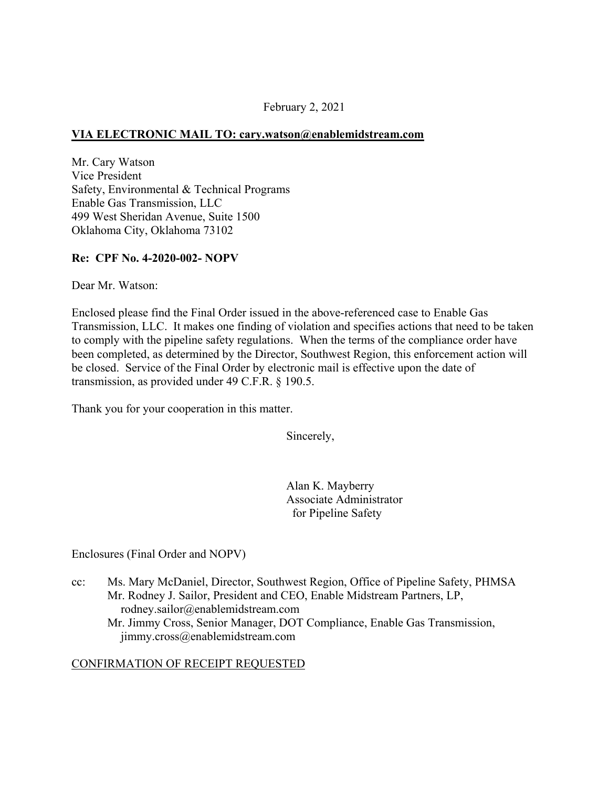## February 2, 2021

### **VIA ELECTRONIC MAIL TO: [cary.watson@enablemidstream.com](mailto:cary.watson@enablemidstream.com)**

Mr. Cary Watson Vice President Safety, Environmental & Technical Programs Enable Gas Transmission, LLC 499 West Sheridan Avenue, Suite 1500 Oklahoma City, Oklahoma 73102

#### **Re: CPF No. 4-2020-002- NOPV**

Dear Mr. Watson:

Enclosed please find the Final Order issued in the above-referenced case to Enable Gas Transmission, LLC. It makes one finding of violation and specifies actions that need to be taken to comply with the pipeline safety regulations. When the terms of the compliance order have been completed, as determined by the Director, Southwest Region, this enforcement action will be closed. Service of the Final Order by electronic mail is effective upon the date of transmission, as provided under 49 C.F.R. § 190.5.

Thank you for your cooperation in this matter.

Sincerely,

Alan K. Mayberry Associate Administrator for Pipeline Safety

Enclosures (Final Order and NOPV)

- cc: Ms. Mary McDaniel, Director, Southwest Region, Office of Pipeline Safety, PHMSA Mr. Rodney J. Sailor, President and CEO, Enable Midstream Partners, LP, [rodney.sailor@enablemidstream.com](mailto:rodney.sailor@enablemidstream.com)
	- Mr. Jimmy Cross, Senior Manager, DOT Compliance, Enable Gas Transmission, [jimmy.cross@enablemidstream.com](mailto:jimmy.cross@enablemidstream.com)

#### CONFIRMATION OF RECEIPT REQUESTED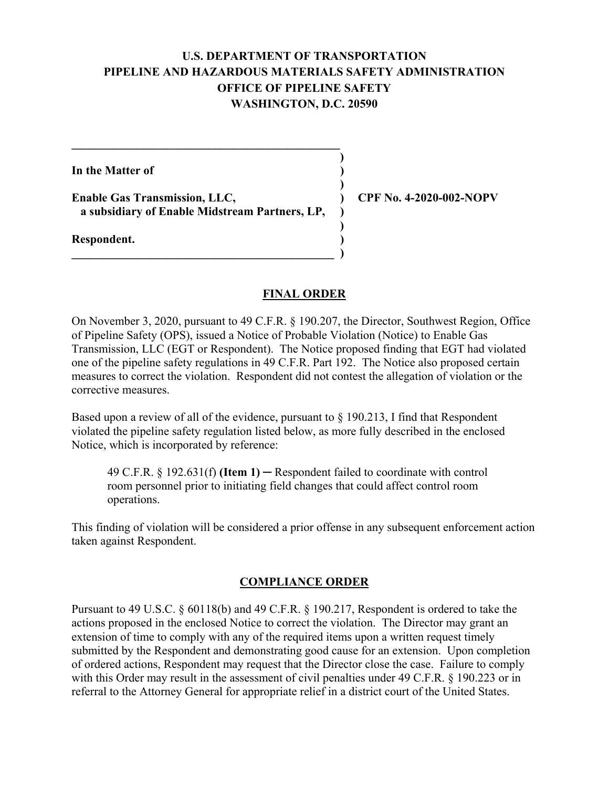# **U.S. DEPARTMENT OF TRANSPORTATION PIPELINE AND HAZARDOUS MATERIALS SAFETY ADMINISTRATION OFFICE OF PIPELINE SAFETY WASHINGTON, D.C. 20590**

**)** 

**)** 

**)** 

**In the Matter of )** 

Enable Gas Transmission, LLC,  $\qquad \qquad$  (PF No. 4-2020-002-NOPV) **a subsidiary of Enable Midstream Partners, LP, )** 

**\_\_\_\_\_\_\_\_\_\_\_\_\_\_\_\_\_\_\_\_\_\_\_\_\_\_\_\_\_\_\_\_\_\_\_\_\_\_\_\_\_\_\_\_ )** 

 $\mathcal{L} = \{ \mathcal{L} \}$ 

**Respondent. )** 

# **FINAL ORDER**

On November 3, 2020, pursuant to 49 C.F.R. § 190.207, the Director, Southwest Region, Office of Pipeline Safety (OPS), issued a Notice of Probable Violation (Notice) to Enable Gas Transmission, LLC (EGT or Respondent). The Notice proposed finding that EGT had violated one of the pipeline safety regulations in 49 C.F.R. Part 192. The Notice also proposed certain measures to correct the violation. Respondent did not contest the allegation of violation or the corrective measures.

Based upon a review of all of the evidence, pursuant to  $\S 190.213$ , I find that Respondent violated the pipeline safety regulation listed below, as more fully described in the enclosed Notice, which is incorporated by reference:

49 C.F.R. § 192.631(f) **(Item 1)** ─ Respondent failed to coordinate with control room personnel prior to initiating field changes that could affect control room operations.

This finding of violation will be considered a prior offense in any subsequent enforcement action taken against Respondent.

# **COMPLIANCE ORDER**

Pursuant to 49 U.S.C. § 60118(b) and 49 C.F.R. § 190.217, Respondent is ordered to take the actions proposed in the enclosed Notice to correct the violation. The Director may grant an extension of time to comply with any of the required items upon a written request timely submitted by the Respondent and demonstrating good cause for an extension. Upon completion of ordered actions, Respondent may request that the Director close the case. Failure to comply with this Order may result in the assessment of civil penalties under 49 C.F.R. § 190.223 or in referral to the Attorney General for appropriate relief in a district court of the United States.